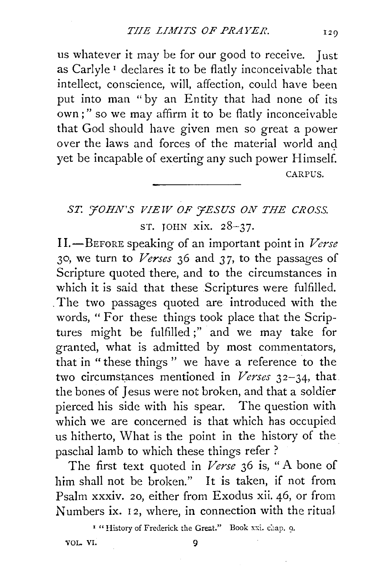us whatever it may be for our good to receive. Just as Carlyle 1 declares it to be flatly inconceivable that intellect, conscience, will, affection, could have been put into man "by an Entity that had none of its own;" so we may affirm it to be flatly inconceivable that God should have given men so great a power over the laws and forces of the material world and yet be incapable of exerting any such power Himself. CARPUS.

## ST. '*FOHN'S VIEW OF 'FESUS ON THE CROSS.* ST. JOHN xix. 28-37.

II.-BEFORE speaking of an important point in *Verse*  30, we turn to *Verses* 36 and *3* 7, to the passages of Scripture quoted there, and to the circumstances in which it is said that these Scriptures were fulfilled. . The two passages quoted are introduced with the words, "For these things took place that the Scriptures might be fulfilled ;" and we may take for granted, what is admitted by most commentators, that in "these things " we have a reference to the two circumstances mentioned in *Verses* 32-34, that the bones of Jesus were not broken, and that a soldier pierced his side with his spear. The question with which we are concerned is that which has occupied us hitherto, What is the point in the history of the paschal lamb to which these things refer ?

The first text quoted in *Verse* 36 is, "A bone of him shall not be broken." It is taken, if not from Psalm xxxiv. 20, either from Exodus xii. 46, or from Numbers ix. 12, where, in connection with the ritual

<sup>1</sup> " History of Frederick the Great." Book xxi. chap. 9.

VOL. VI.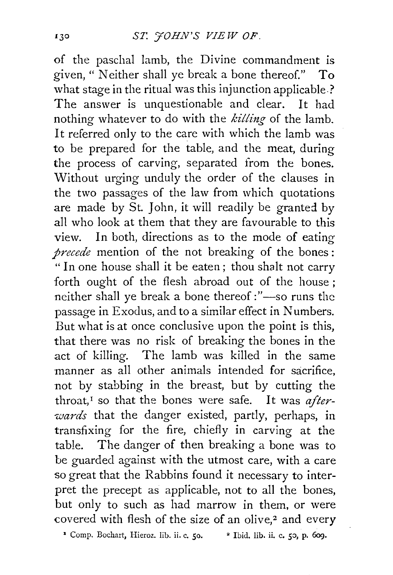of the paschal lamb, the Divine commandment is given," Neither shall ye break a bone thereof." To what stage in the ritual was this injunction applicable.? The answer is unquestionable and clear. It had nothing whatever to do with the *killing* of the lamb. It referred only to the care with which the lamb was to be prepared for the table, and the meat, during the process of carving, separated from the bones. Without urging unduly the order of the clauses in the two passages of the law from which quotations are made by St. John, it will readily be granted by all who look at them that they are favourable to this view. In both, directions as to the mode of eating *precede* mention of the not breaking of the bones : "In one house shall it be eaten; thou shalt not carry forth ought of the flesh abroad out of the house; neither shall ye break a bone thereof :"-so runs the passage in Exodus, and to a similar effect in Numbers. But what is at once conclusive upon the point is this, that there was no risk of breaking the bones in the act of killing. The lamb was killed in the same manner as all other animals intended for sacrifice, not by stabbing in the breast, but by cutting the throat,<sup>1</sup> so that the bones were safe. It was *afterwards* that the danger existed, partly, perhaps, in transfixing for the fire, chiefly in carving at the table. The danger of then breaking a bone was to be guarded against with the utmost care, with a care so great that the Rabbins found it necessary to interpret the precept as applicable, not to all the bones, but only to such as had marrow in them, or were covered with flesh of the size of an olive,<sup>2</sup> and every

<sup>1</sup> Comp. Bochart, Hieroz. lib. ii. c. 50. <sup>•</sup> Ibid. lib. ii. c. 50, p. 609.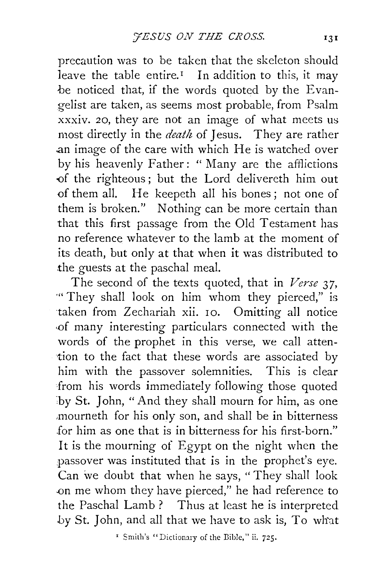precaution was to be taken that the skeleton should leave the table entire.<sup> $I$ </sup> In addition to this, it may be noticed that, if the words quoted by the Evangelist are taken, as seems most probable, from Psalm xxxiv. 20, they are not an image of what meets us most directly in the *death* of Jesus. They are rather .an image of the care with which He is watched over by his heavenly Father: " Many are the afflictions -of the righteous ; but the Lord delivereth him out of them all. He keepeth all his bones ; not one of them is broken." Nothing can be more certain than that this first passage from the Old Testament has no reference whatever to the lamb at the moment of its death, but only at that when it was distributed to .the guests at the paschal meal.

The second of the texts quoted, that in *Verse* 37, '" They shall look on him whom they pierced," is taken from Zechariah xii. IO. Omitting all notice ·of many interesting particulars connected with the words of the prophet in this verse, we call attention to the fact that these words are associated by him with the passover solemnities. This is clear from his words immediately following those quoted by St. John, " And they shall mourn for him, as one ,mourneth for his only son, and shall be in bitterness for him as one that is in bitterness for his first-born." It is the mourning of Egypt on the night when the passover was instituted that is in the prophet's eye. Can we doubt that when he says, "They shall look -on me whom they have pierced," he had reference to the Paschal Lamb ? Thus at least he is interpreted by St. John, and all that we have to ask is, To what

' Smith's "Dictiomry of the Bible," ii. 725.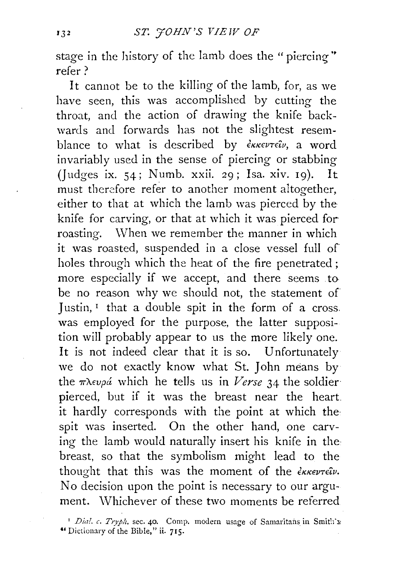stage in the history of the lamb does the "piercing" refer?

It cannot be to the killing of the Iamb, for, as we have seen, this was accomplished by cutting the throat, and the action of drawing the knife backwards and forwards has not the slightest resemblance to what is described by  $\epsilon_{KKE}$  a word invariably used in the sense of piercing or stabbing (Judges ix.  $54$ ; Numb. xxii. 29; Isa. xiv. 19). It must therefore refer to another moment altogether, either to that at which the lamb was pierced by the knife for carving, or that at which it was pierced for roasting. When we remember the manner in which it was roasted, suspended in a close vessel full of holes through which the heat of the fire penetrated ; more especially if we accept, and there seems to be no reason why we should not, the statement of Justin,  $I$  that a double spit in the form of a cross. was employed for the purpose, the latter supposition will probably appear to us the more likely one. It is not indeed clear that it is so. Unfortunately we do not exactly know what St. John means by the  $\pi \lambda \epsilon \nu \rho \dot{a}$  which he tells us in *Verse* 34 the soldier pierced, but if it was the breast near the heart it hardly corresponds with the point at which the· spit was inserted. On the other hand, one carving the lamb would naturally insert his knife in the breast, so that the symbolism might lead to the thought that this was the moment of the  $\epsilon_{KKEV}$ No decision upon the point is necessary to our argument. Whichever of these two moments be referred

<sup>&</sup>lt;sup>1</sup> *Dial. c. Tryph.* sec. 40. Comp. modern usage of Samaritans in Smith's "Dictionary of the Bible," ii. 715.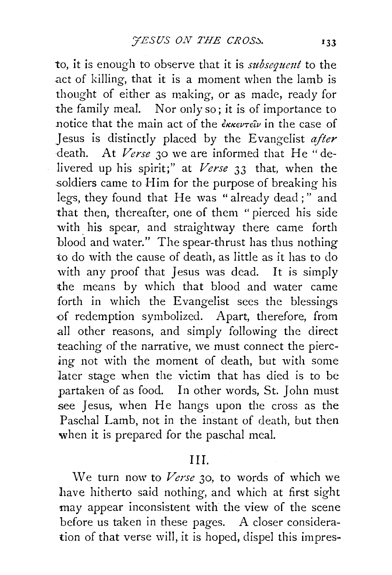to, it is enough to observe that it is *subsequmt* to the .act of killing, that it is a moment when the lamb is thought of either as making, or as made, ready for the family meal. Nor only so; it is of importance to notice that the main act of the  $\epsilon_{\kappa\kappa\epsilon\nu\tau\epsilon\hat{i}\nu}$  in the case of Jesus is distinctly placed by the Evangelist *after*  death. At *Verse* 30 we are informed that He "delivered up his spirit;" at *Verse* 33 that, when the .soldiers came to Him for the purpose of breaking his legs, they found that He was "already dead;" and that then, thereafter, one of them "pierced his side with his spear, and straightway there came forth blood and water." The spear-thrust has thus nothing to do with the cause of death, as little as it has to do with any proof that Jesus was dead. It is simply the means by which that blood and water came forth in which the Evangelist sees the blessings of redemption symbolized. Apart, therefore, from .all other reasons, and simply following the direct teaching of the narrative, we must connect the piercing not with the moment of death, but with some later stage when the victim that has died is to be partaken of as food. In other words, St. John must see Jesus, when He hangs upon the cross as the Paschal Lamb, not in the instant of death, but then when it is prepared for the paschal meal.

## Ill.

\Ve turn now to *Verse* 30, to words of which we have hitherto said nothing, and which at first sight may appear inconsistent with the view of the scene before us taken in these pages. A closer consideration of that verse will, it is hoped, dispel this impres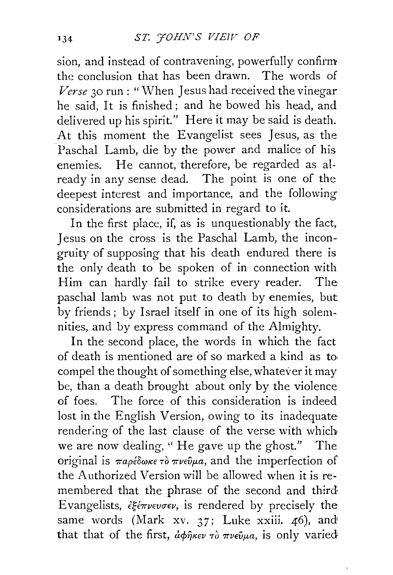sion, and instead of contravening, powerfully confirm the conclusion that has been drawn. The words of *Verse* 30 run : "When Jesus had received the vinegar he said, It is finished ; and he bowed his head, and delivered up his spirit." Here it may be said is death. At this moment the Evangelist sees Jesus, as the Paschal Lamb, die by the power and malice of his enemies. He cannot, therefore, be regarded as already in any sense dead. The point is one of the deepest interest and importance, and the following considerations are submitted in regard to it.

In the first place, if, as is unquestionably the fact, Jesus on the cross is the Paschal Lamb, the incongruity of supposing that his death endured there is the only death to be spoken of in connection with Him can hardly fail to strike every reader. The paschal lamb was not put to death by enemies, but by friends; by Israel itself in one of its high solemnities, and by express command of the Almighty.

In the second place, the words in which the fact of death is mentioned are of so marked a kind as to. compel the thought of something else, whatever it may be, than a death brought about only by the violence of foes. The force of this consideration is indeed lost in the English Version, owing to its inadequate rendering of the last clause of the verse with which we are now dealing, "He gave up the ghost." The original is  $παρέδωκε τò πνεύμα$ , and the imperfection of the Authorized Version will be allowed when it is remembered that the phrase of the second and third Evangelists, *€g€1rvwcrev,* is rendered by precisely the same words (Mark xv. 37; Luke xxiii. 46), and that that of the first,  $d\phi\hat{\eta}$ <sub>KEV</sub>  $\tau\delta\pi\nu\epsilon\hat{\nu}\mu a$ , is only varied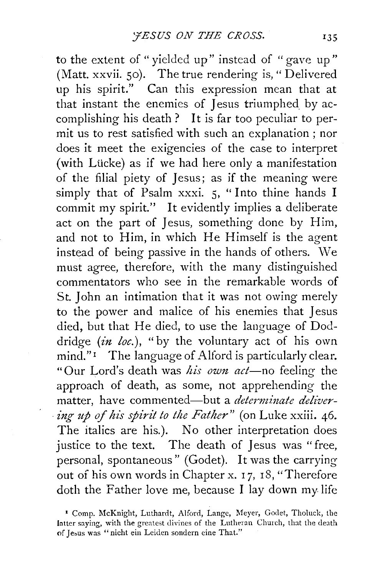to the extent of "vielded up" instead of "gave up" (Matt. xxvii. 50). The true rendering is, "Delivered up his spirit." Can this expression mean that at that instant the enemies of Jesus triumphed by accomplishing his death ? It is far too peculiar to permit us to rest satisfied with such an explanation ; nor does it meet the exigencies of the case to interpret (with Lücke) as if we had here only a manifestation of the filial piety of Jesus; as if the meaning were simply that of Psalm xxxi. 5, "Into thine hands I commit my spirit." It evidently implies a deliberate act on the part of Jesus, something done by Him, and not to Him, in which He Himself is the agent instead of being passive in the hands of others. We must agree, therefore, with the many distinguished commentators who see in the remarkable words of St. John an intimation that it was not owing merely to the power and malice of his enemies that Jesus died, but that He died, to use the language of Doddridge  $(in$  loc.), "by the voluntary act of his own mind." I The language of Alford is particularly clear. "Our Lord's death was *his own act*-no feeling the approach of death, as some, not apprehending the matter, have commented-but a *determinate delivering up of his spirit to the Father*" (on Luke xxiii. 46. The italics are his.). No other interpretation does justice to the text. The death of Jesus was "free, personal, spontaneous" (Godet). It was the carrying out of his own words in Chapter x. I 7, 18, "Therefore doth the Father love me, because I lay down my life

<sup>&</sup>lt;sup>1</sup> Comp. McKnight, Luthardt, Alford, Lange, Meyer, Godet, Tholuck, the latter saying, with the greatest divines of the Lutheran Church, that the death of Jeous was "nicht ein Leiden sondern eine That."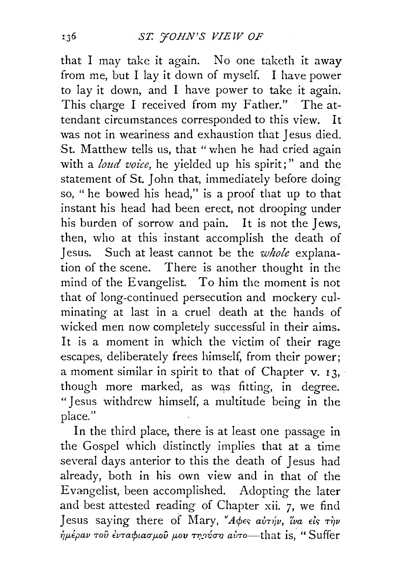that I may take it again. No one taketh it away from me, but I lay it down of myself. I have power to lay it down, and I have power to take it again. This charge I received from my Father." The attendant circumstances corresponded to this view. It was not in weariness and exhaustion that Jesus died. St. Matthew tells us, that " when he had cried again with a *loud voice,* he yielded up his spirit;" and the statement of St. John that, immediately before doing so, " he bowed his head," is a proof that up to that instant his head had been erect, not drooping under his burden of sorrow and pain. It is not the Jews, then, who at this instant accomplish the death of Jesus. Such at least cannot be the *whole* explanation of the scene. There is another thought in the mind of the Evangelist. To him the moment is not that of long-continued persecution and mockery culminating at last in a cruel death at the hands of wicked men now completely successful in their aims. It is a moment in which the victim of their rage escapes, deliberately frees himself, from their power; a moment similar in spirit to that of Chapter v. 13, though more marked, as was fitting, in degree. "Jesus withdrew himself, a multitude being in the place."

In the third place, there is at least one passage in the Gospel which distinctly implies that at a time several days anterior to this the death of Jesus had already, both in his own view and in that of the Evangelist, been accomplished. Adopting the later and best attested reading of Chapter xii. 7, we find Jesus saying there of Mary, "Apes avrip, iva *Els*  $\tau$ ip  $n\pi\mu$ έραν του ένταφιασμού μου τηρήση αύτο-that is, "Suffer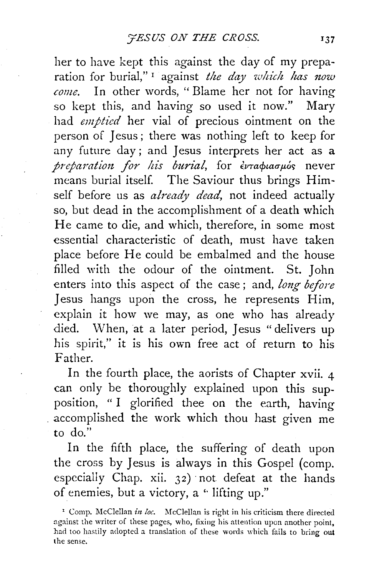her to have kept this against the day of my preparation for burial,"<sup>1</sup> against *the day which has now come.* In other words, "Blame her not for having so kept this, and having so used it now." Mary had *emptied* her vial of precious ointment on the person of Jesus ; there was nothing left to keep for any future day; and Jesus interprets her act as a *preparation for his burial*, for ενταφιασμός never means burial itself. The Saviour thus brings Himself before us as *already dead,* not indeed actually so, but dead in the accomplishment of a death which He came to die, and which, therefore, in some most essential characteristic of death, must have taken place before He could be embalmed and the house filled with the odour of the ointment. St. John enters into this aspect of the case; and, *long before* Jesus hangs upon the cross, he represents Him, explain it how we may, as one who has already died. When, at a later period, Jesus "delivers up his spirit," it is his own free act of return to his Father.

In the fourth place, the aorists of Chapter xvii.  $\Delta$ can only be thoroughly explained upon this supposition, " I glorified thee on the earth, having . accomplished the work which thou hast given me to do."

In the fifth place, the suffering of death upon the cross by Jesus is always in this Gospel (comp. especially Chap. xii. 32) not defeat at the hands of enemies, but a victory, a "lifting up."

<sup>&</sup>lt;sup>1</sup> Comp. McClellan *in loc*. McClellan is right in his criticism there directed against the writer of these pages, who, fixing his attention upon another point, had too hastily adopted a translation of these words which fails to bring out the sense.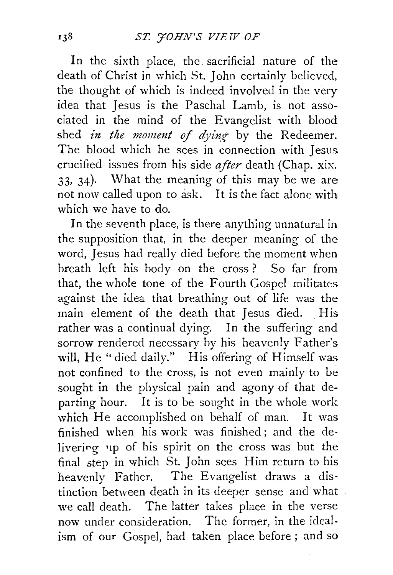In the sixth place, the sacrificial nature of the death of Christ in which St. John certainly believed, the thought of which is indeed involved in the very idea that Jesus is the Paschal Lamb, is not associated in the mind of the Evangelist with blood shed *in the moment of dying* by the Redeemer. The blood which he sees in connection with Jesus crucified issues from his side *after* death (Chap. xix. 33, 34). What the meaning of this may be we are not now called upon to ask. It is the fact alone with which we have to do.

In the seventh place, is there anything unnatural in the supposition that, in the deeper meaning of the word, Jesus had really died before the moment when breath left his body on the cross ? So far from that, the whole tone of the Fourth Gospel militates against the idea that breathing out of life was the main element of the death that Jesus died. His rather was a continual dying. In the suffering and sorrow rendered necessary by his heavenly Father's will, He "died daily." His offering of Himself was not confined to the cross, is not even mainly to be sought in the physical pain and agony of that departing hour. It is to be sought in the whole work which He accomplished on behalf of man. It was finished when his work was finished; and the delivering up of his spirit on the cross was but the final step in which St. John sees Him return to his heavenly Father. The Evangelist draws a distinction between death in its deeper sense and what we call death. The latter takes place in the verse now under consideration. The former, in the idealism of our Gospel, had taken place before ; and so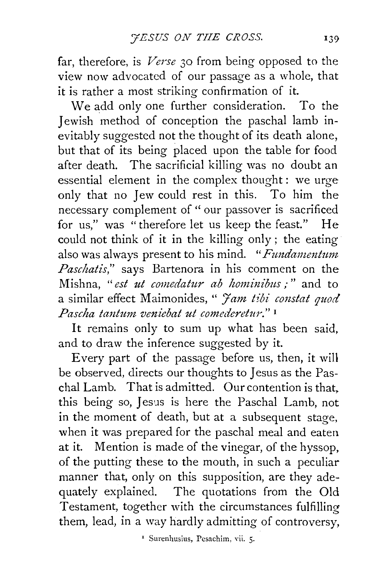far, therefore, is *Verse* 30 from being opposed to the view now advocated of our passage as a whole, that it is rather a most striking confirmation of it.

We add only one further consideration. To the Jewish method of conception the paschal lamb inevitably suggested not the thought of its death alone, but that of its being placed upon the table for food after death. The sacrificial killing was no doubt an essential element in the complex thought: we urge only that no Jew could rest in this. To him the necessary complement of " our passover is sacrificed for us," was "therefore let us keep the feast." He could not think of it in the killing only; the eating also was always present to his mind. *"Fundamentum Paschatis,"* says Bartenora in his comment on the Mishna, "est ut comedatur ab hominibus :" and to a similar effect Maimonides, " *'Jam t£bi coustat quod Pascha tantum veniebat ut comederetur."* <sup>1</sup>

It remains only to sum up what has been said, and to draw the inference suggested by it.

Every part of the passage before us, then, it will be observed, directs our thoughts to Jesus as the Paschal Lamb. That is admitted. Our contention is that. this being so, Jesus is here the Paschal Lamb, not in the moment of death, but at a subsequent stage, when it was prepared for the paschal meal and eaten at it. Mention is made of the vinegar, of the hyssop, of the putting these to the mouth, in such a peculiar manner that, only on this supposition, are they adequately explained. The quotations from the Old Testament, together with the circumstances fulfilling them, lead, in a way hardly admitting of controversy,

<sup>&</sup>lt;sup>1</sup> Surenhusius, Pesachim, vii. 5.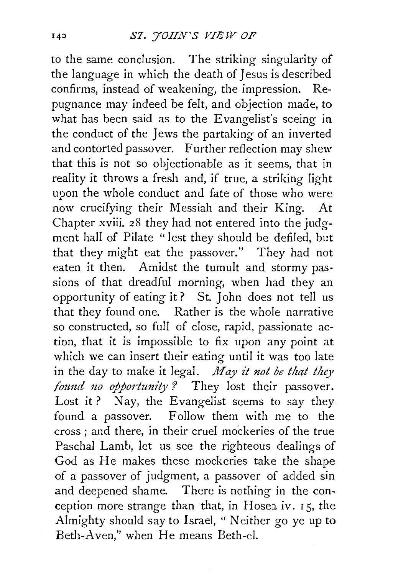to the same conclusion. The striking singularity of the language in which the death of Jesus is described confirms, instead of weakening, the impression. Repugnance may indeed be felt, and objection made, to what has been said as to the Evangelist's seeing in the conduct of the Jews the partaking of an inverted and contorted passover. Further reflection may shew that this is not so objectionable as it seems, that in reality it throws a fresh and, if true, a striking light upon the whole conduct and fate of those who were now crucifying their Messiah and their King. At Chapter xviii. 28 they had not entered into the judgment hall of Pilate "lest they should be defiled, but that they might eat the passover." They had not eaten it then. Amidst the tumult and stormy passions of that dreadful morning, when had they an opportunity of eating it ? St. John does not tell us that they found one. Rather is the whole narrative so constructed, so full of close, rapid, passionate action, that it is impossible to fix upon any point at which we can insert their eating until it was too late in the day to make it legal. *May it not be that they found no opportunity?* They lost their passover. Lost it? Nay, the Evangelist seems to say they found a passover. Follow them with me to the cross ; and there, in their cruel mockeries of the true Paschal Lamb, let us see the righteous dealings of God as He makes these mockeries take the shape of a passover of judgment, a passover of added sin and deepened shame. There is nothing in the conception more strange than that, in Hosea iv. r 5, the Almighty should say to Israel, " Neither go ye up to Beth-A ven," when He means Beth-el.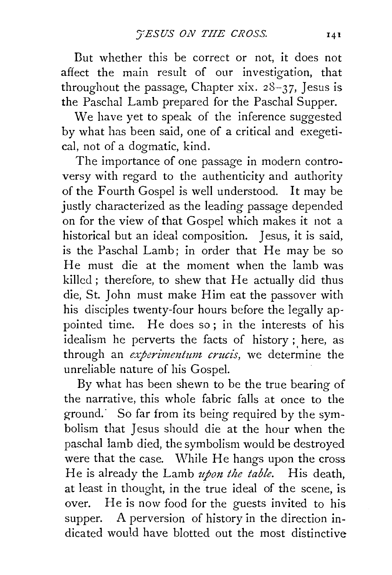Dut whether this be correct or not, it does not affect the main result of our investigation, that throughout the passage, Chapter xix.  $28-37$ , Jesus is the Paschal Lamb prepared for the Paschal Supper.

We have yet to speak of the inference suggested by what has been said, one of a critical and exegetical, not of a dogmatic, kind.

The importance of one passage in modern controversy with regard to the authenticity and authority of the Fourth Gospel is well understood. It may be justly characterized as the leading passage depended on for the view of that Gospel which makes it not a historical but an ideal composition. Jesus, it is said, is the Paschal Lamb; in order that He may be so He must die at the moment when the lamb was killed; therefore, to shew that He actually did thus die, St. John must make Him eat the passover with his disciples twenty-four hours before the legally appointed time. He does so; in the interests of his idealism he perverts the facts of history ; here, as through an *experimentum crucis*, we determine the unreliable nature of his Gospel.

By what has been shewn to be the true bearing of the narrative, this whole fabric falls at once to the ground.· So far from its being required by the symbolism that Jesus should die at the hour when the paschal lamb died, the symbolism would be destroyed were that the case. While He hangs upon the cross He is already the Lamb *upon the table.* His death, at least in thought, in the true ideal of the scene, is over. He is now food for the guests invited to his supper. A perversion of history in the direction indicated would have blotted out the most distinctive